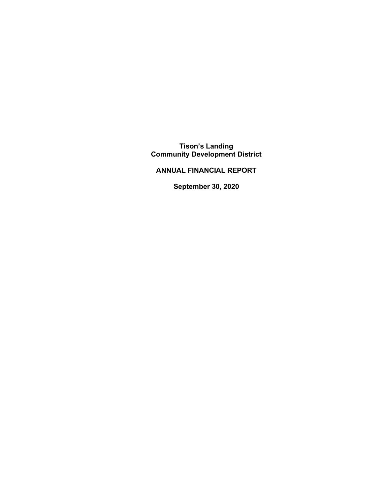**Tison's Landing Community Development District**

# **ANNUAL FINANCIAL REPORT**

**September 30, 2020**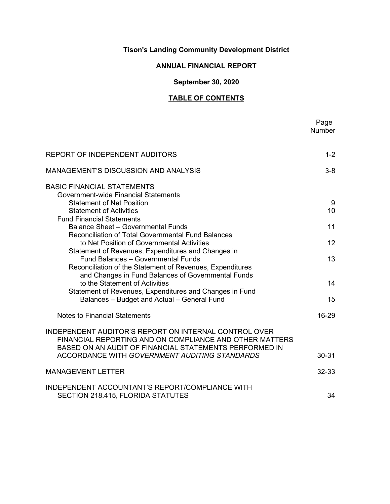# **Tison's Landing Community Development District**

# **ANNUAL FINANCIAL REPORT**

# **September 30, 2020**

## **TABLE OF CONTENTS**

|                                                                                                                                                                            | Page<br>Number |
|----------------------------------------------------------------------------------------------------------------------------------------------------------------------------|----------------|
| <b>REPORT OF INDEPENDENT AUDITORS</b>                                                                                                                                      | $1 - 2$        |
| <b>MANAGEMENT'S DISCUSSION AND ANALYSIS</b>                                                                                                                                | $3 - 8$        |
| <b>BASIC FINANCIAL STATEMENTS</b><br>Government-wide Financial Statements<br><b>Statement of Net Position</b>                                                              | 9              |
| <b>Statement of Activities</b><br><b>Fund Financial Statements</b><br><b>Balance Sheet - Governmental Funds</b>                                                            | 10<br>11       |
| <b>Reconciliation of Total Governmental Fund Balances</b><br>to Net Position of Governmental Activities<br>Statement of Revenues, Expenditures and Changes in              | 12             |
| Fund Balances - Governmental Funds<br>Reconciliation of the Statement of Revenues, Expenditures<br>and Changes in Fund Balances of Governmental Funds                      | 13             |
| to the Statement of Activities<br>Statement of Revenues, Expenditures and Changes in Fund                                                                                  | 14<br>15       |
| Balances - Budget and Actual - General Fund<br><b>Notes to Financial Statements</b>                                                                                        | 16-29          |
| INDEPENDENT AUDITOR'S REPORT ON INTERNAL CONTROL OVER<br>FINANCIAL REPORTING AND ON COMPLIANCE AND OTHER MATTERS<br>BASED ON AN AUDIT OF FINANCIAL STATEMENTS PERFORMED IN |                |
| <b>ACCORDANCE WITH GOVERNMENT AUDITING STANDARDS</b>                                                                                                                       | $30 - 31$      |
| <b>MANAGEMENT LETTER</b>                                                                                                                                                   | 32-33          |
| INDEPENDENT ACCOUNTANT'S REPORT/COMPLIANCE WITH<br><b>SECTION 218.415, FLORIDA STATUTES</b>                                                                                | 34             |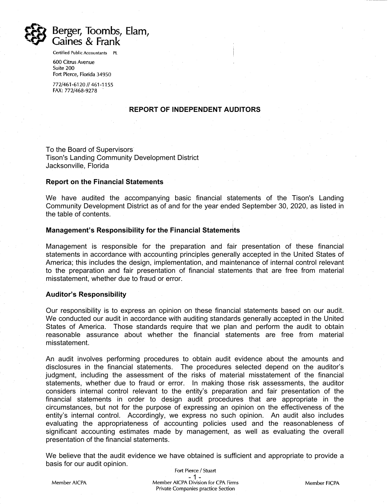

Certified Public Accountants PL

600 Citrus Avenue Suite 200 Fort Pierce, Florida 34950

772/461-6120 // 461-1155 FAX: 772/468-9278

#### **REPORT OF INDEPENDENT AUDITORS**

To the Board of Supervisors Tison's Landing Community Development District Jacksonville, Florida

#### **Report on the Financial Statements**

We have audited the accompanying basic financial statements of the Tison's Landing Community Development District as of and for the year ended September 30, 2020, as listed in the table of contents.

#### **Management's Responsibility for the Financial Statements**

Management is responsible for the preparation and fair presentation of these financial statements in accordance with accounting principles generally accepted in the United States of America; this includes the design, implementation, and maintenance of internal control relevant to the preparation and fair presentation of financial statements that are free from material misstatement, whether due to fraud or error.

#### **Auditor's Responsibility**

Our responsibility is to express an opinion on these financial statements based on our audit. We conducted our audit in accordance with auditing standards generally accepted in the United States of America. Those standards require that we plan and perform the audit to obtain reasonable assurance about whether the financial statements are free from material misstatement.

An audit involves performing procedures to obtain audit evidence about the amounts and disclosures in the financial statements. The procedures selected depend on the auditor's judgment, including the assessment of the risks of material misstatement of the financial statements, whether due to fraud or error. In making those risk assessments, the auditor considers internal control relevant to the entity's preparation and fair presentation of the financial statements in order to design audit procedures that are appropriate in the circumstances, but not for the purpose of expressing an opinion on the effectiveness of the entity's internal control. Accordingly, we express no such opinion. An audit also includes evaluating the appropriateness of accounting policies used and the reasonableness of significant accounting estimates made by management, as well as evaluating the overall presentation of the financial statements.

We believe that the audit evidence we have obtained is sufficient and appropriate to provide a basis for our audit opinion.

Fort Pierce / Stuart - 1 -<br>Member AICPA Division for CPA Firms Private Companies practice Section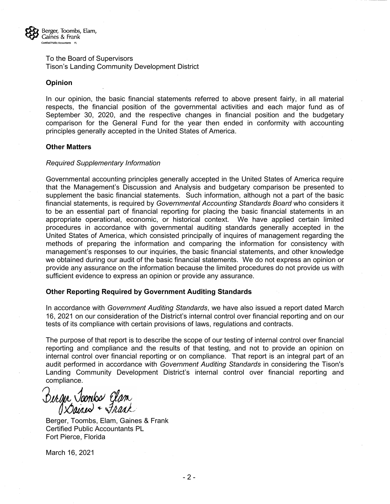

To the Board of Supervisors Tison's Landing Community Development District

#### **Opinion**

In our opinion, the basic financial statements referred to above present fairly, in all material respects, the financial position of the governmental activities and each major fund as of September 30, 2020, and the respective changes in financial position and the budgetary comparison for the General Fund for the year then ended in conformity with accounting principles generally accepted in the United States of America.

#### **Other Matters**

#### *Required Supplementary Information*

Governmental accounting principles generally accepted in the United States of America require that the Management's Discussion and Analysis and budgetary comparison be presented to supplement the basic financial statements. Such information, although not a part of the basic financial statements, is required by *Governmental Accounting Standards Board* who considers it to be an essential part of financial reporting for placing the basic financial statements in an appropriate operational, economic, or historical context. We have applied certain limited procedures in accordance with governmental auditing standards generally accepted in the United States of America, which consisted principally of inquires of management regarding the methods of preparing the information and comparing the information for consistency with management's responses to our inquiries, the basic financial statements, and other knowledge we obtained during our audit of the basic financial statements. We do not express an opinion or provide any assurance on the information because the limited procedures do not provide us with sufficient evidence to express an opinion or provide any assurance.

#### **Other Reporting Required by Government Auditing Standards**

In accordance with *Government Auditing Standards*, we have also issued a report dated March 16, 2021 on our consideration of the District's internal control over financial reporting and on our tests of its compliance with certain provisions of laws, regulations and contracts.

The purpose of that report is to describe the scope of our testing of internal control over financial reporting and compliance and the results of that testing, and not to provide an opinion on internal control over financial reporting or on compliance. That report is an integral part of an audit performed in accordance with *Government Auditing Standards* in considering the Tison's Landing Community Development District's internal control over financial reporting and compliance.

Burgin Jamika Glam

Berger, Toombs, Elam, Gaines & Frank Certified Public Accountants PL Fort Pierce, Florida

March 16, 2021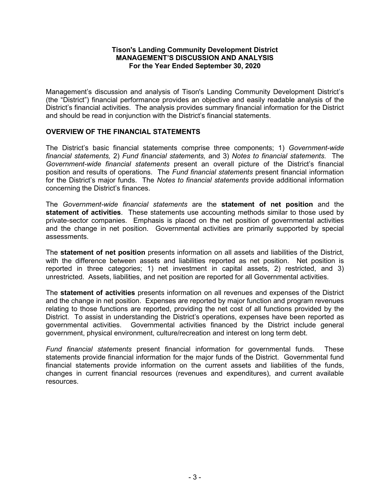Management's discussion and analysis of Tison's Landing Community Development District's (the "District") financial performance provides an objective and easily readable analysis of the District's financial activities. The analysis provides summary financial information for the District and should be read in conjunction with the District's financial statements.

## **OVERVIEW OF THE FINANCIAL STATEMENTS**

The District's basic financial statements comprise three components; 1) *Government-wide financial statements,* 2) *Fund financial statements,* and 3) *Notes to financial statements.* The *Government-wide financial statements* present an overall picture of the District's financial position and results of operations. The *Fund financial statements* present financial information for the District's major funds. The *Notes to financial statements* provide additional information concerning the District's finances.

The *Government-wide financial statements* are the **statement of net position** and the **statement of activities**. These statements use accounting methods similar to those used by private-sector companies. Emphasis is placed on the net position of governmental activities and the change in net position. Governmental activities are primarily supported by special assessments.

The **statement of net position** presents information on all assets and liabilities of the District, with the difference between assets and liabilities reported as net position. Net position is reported in three categories; 1) net investment in capital assets, 2) restricted, and 3) unrestricted. Assets, liabilities, and net position are reported for all Governmental activities.

The **statement of activities** presents information on all revenues and expenses of the District and the change in net position. Expenses are reported by major function and program revenues relating to those functions are reported, providing the net cost of all functions provided by the District. To assist in understanding the District's operations, expenses have been reported as governmental activities. Governmental activities financed by the District include general government, physical environment, culture/recreation and interest on long term debt.

*Fund financial statements* present financial information for governmental funds. These statements provide financial information for the major funds of the District. Governmental fund financial statements provide information on the current assets and liabilities of the funds, changes in current financial resources (revenues and expenditures), and current available resources.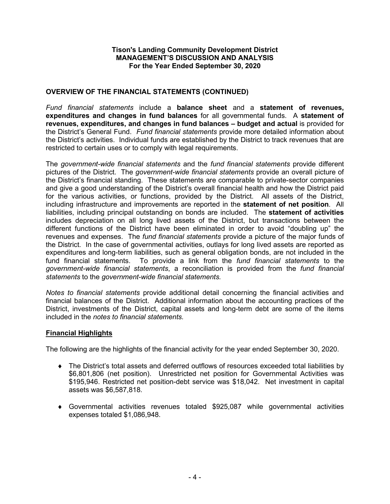## **OVERVIEW OF THE FINANCIAL STATEMENTS (CONTINUED)**

*Fund financial statements* include a **balance sheet** and a **statement of revenues, expenditures and changes in fund balances** for all governmental funds. A **statement of revenues, expenditures, and changes in fund balances – budget and actual** is provided for the District's General Fund. *Fund financial statements* provide more detailed information about the District's activities. Individual funds are established by the District to track revenues that are restricted to certain uses or to comply with legal requirements.

The *government-wide financial statements* and the *fund financial statements* provide different pictures of the District. The *government-wide financial statements* provide an overall picture of the District's financial standing. These statements are comparable to private-sector companies and give a good understanding of the District's overall financial health and how the District paid for the various activities, or functions, provided by the District. All assets of the District, including infrastructure and improvements are reported in the **statement of net position**. All liabilities, including principal outstanding on bonds are included. The **statement of activities** includes depreciation on all long lived assets of the District, but transactions between the different functions of the District have been eliminated in order to avoid "doubling up" the revenues and expenses. The *fund financial statements* provide a picture of the major funds of the District. In the case of governmental activities, outlays for long lived assets are reported as expenditures and long-term liabilities, such as general obligation bonds, are not included in the fund financial statements. To provide a link from the *fund financial statements* to the *government-wide financial statements*, a reconciliation is provided from the *fund financial statements* to the *government-wide financial statements.*

*Notes to financial statements* provide additional detail concerning the financial activities and financial balances of the District. Additional information about the accounting practices of the District, investments of the District, capital assets and long-term debt are some of the items included in the *notes to financial statements.*

## **Financial Highlights**

The following are the highlights of the financial activity for the year ended September 30, 2020.

- ♦ The District's total assets and deferred outflows of resources exceeded total liabilities by \$6,801,806 (net position). Unrestricted net position for Governmental Activities was \$195,946. Restricted net position-debt service was \$18,042. Net investment in capital assets was \$6,587,818.
- $\bullet$  Governmental activities revenues totaled \$925,087 while governmental activities expenses totaled \$1,086,948.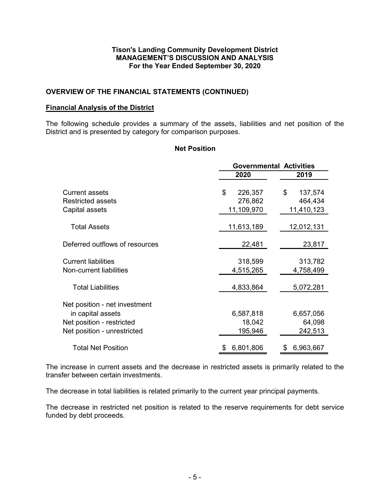## **OVERVIEW OF THE FINANCIAL STATEMENTS (CONTINUED)**

### **Financial Analysis of the District**

The following schedule provides a summary of the assets, liabilities and net position of the District and is presented by category for comparison purposes.

### **Net Position**

|                                                                                                                | <b>Governmental Activities</b>         |                                                   |  |
|----------------------------------------------------------------------------------------------------------------|----------------------------------------|---------------------------------------------------|--|
|                                                                                                                | 2020                                   | 2019                                              |  |
| <b>Current assets</b><br><b>Restricted assets</b><br>Capital assets                                            | \$<br>226,357<br>276,862<br>11,109,970 | $\mathfrak s$<br>137,574<br>464,434<br>11,410,123 |  |
| <b>Total Assets</b>                                                                                            | 11,613,189                             | 12,012,131                                        |  |
| Deferred outflows of resources                                                                                 | 22,481                                 | 23,817                                            |  |
| <b>Current liabilities</b><br>Non-current liabilities                                                          | 318,599<br>4,515,265                   | 313,782<br>4,758,499                              |  |
| <b>Total Liabilities</b>                                                                                       | 4,833,864                              | 5,072,281                                         |  |
| Net position - net investment<br>in capital assets<br>Net position - restricted<br>Net position - unrestricted | 6,587,818<br>18,042<br>195,946         | 6,657,056<br>64,098<br>242,513                    |  |
| <b>Total Net Position</b>                                                                                      | 6,801,806                              | 6,963,667<br>S                                    |  |

The increase in current assets and the decrease in restricted assets is primarily related to the transfer between certain investments.

The decrease in total liabilities is related primarily to the current year principal payments.

The decrease in restricted net position is related to the reserve requirements for debt service funded by debt proceeds.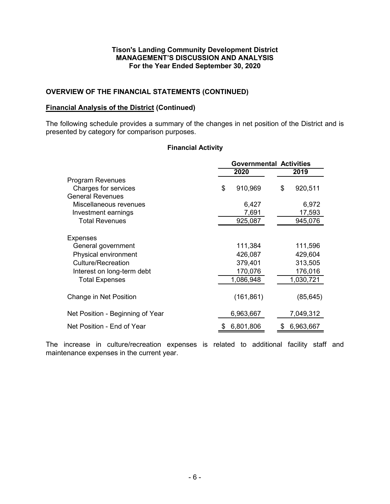## **OVERVIEW OF THE FINANCIAL STATEMENTS (CONTINUED)**

### **Financial Analysis of the District (Continued)**

The following schedule provides a summary of the changes in net position of the District and is presented by category for comparison purposes.

### **Financial Activity**

|                                  |           | <b>Governmental Activities</b> |      |           |
|----------------------------------|-----------|--------------------------------|------|-----------|
|                                  |           | 2020                           | 2019 |           |
| <b>Program Revenues</b>          |           |                                |      |           |
| Charges for services             | \$        | 910,969                        | \$   | 920,511   |
| <b>General Revenues</b>          |           |                                |      |           |
| Miscellaneous revenues           |           | 6,427                          |      | 6,972     |
| Investment earnings              |           | 7,691                          |      | 17,593    |
| <b>Total Revenues</b>            | 925,087   |                                |      | 945,076   |
| <b>Expenses</b>                  |           |                                |      |           |
| General government               |           | 111,384                        |      | 111,596   |
| Physical environment             | 426,087   |                                |      | 429,604   |
| <b>Culture/Recreation</b>        | 379,401   |                                |      | 313,505   |
| Interest on long-term debt       | 170,076   |                                |      | 176,016   |
| <b>Total Expenses</b>            | 1,086,948 |                                |      | 1,030,721 |
| Change in Net Position           |           | (161, 861)                     |      | (85, 645) |
| Net Position - Beginning of Year |           | 6,963,667                      |      | 7,049,312 |
| Net Position - End of Year       | 6,801,806 |                                |      | 6,963,667 |

The increase in culture/recreation expenses is related to additional facility staff and maintenance expenses in the current year.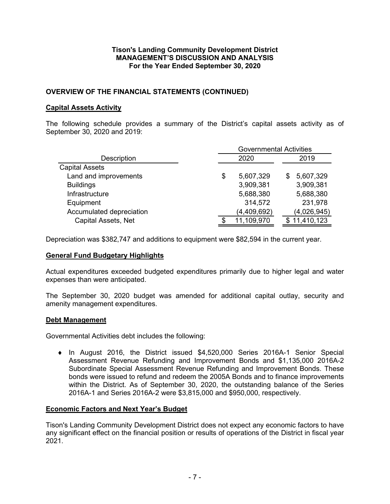## **OVERVIEW OF THE FINANCIAL STATEMENTS (CONTINUED)**

### **Capital Assets Activity**

The following schedule provides a summary of the District's capital assets activity as of September 30, 2020 and 2019:

|                          | <b>Governmental Activities</b> |                |
|--------------------------|--------------------------------|----------------|
| Description              | 2020                           | 2019           |
| <b>Capital Assets</b>    |                                |                |
| Land and improvements    | \$<br>5,607,329                | 5,607,329<br>S |
| <b>Buildings</b>         | 3,909,381                      | 3,909,381      |
| Infrastructure           | 5,688,380                      | 5,688,380      |
| Equipment                | 314,572                        | 231,978        |
| Accumulated depreciation | (4,409,692)                    | (4,026,945)    |
| Capital Assets, Net      | 11,109,970                     | \$11,410,123   |

Depreciation was \$382,747 and additions to equipment were \$82,594 in the current year.

### **General Fund Budgetary Highlights**

Actual expenditures exceeded budgeted expenditures primarily due to higher legal and water expenses than were anticipated.

The September 30, 2020 budget was amended for additional capital outlay, security and amenity management expenditures.

### **Debt Management**

Governmental Activities debt includes the following:

♦ In August 2016, the District issued \$4,520,000 Series 2016A-1 Senior Special Assessment Revenue Refunding and Improvement Bonds and \$1,135,000 2016A-2 Subordinate Special Assessment Revenue Refunding and Improvement Bonds. These bonds were issued to refund and redeem the 2005A Bonds and to finance improvements within the District. As of September 30, 2020, the outstanding balance of the Series 2016A-1 and Series 2016A-2 were \$3,815,000 and \$950,000, respectively.

## **Economic Factors and Next Year's Budget**

Tison's Landing Community Development District does not expect any economic factors to have any significant effect on the financial position or results of operations of the District in fiscal year 2021.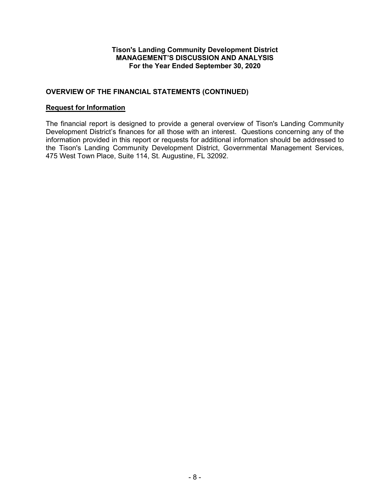## **OVERVIEW OF THE FINANCIAL STATEMENTS (CONTINUED)**

### **Request for Information**

The financial report is designed to provide a general overview of Tison's Landing Community Development District's finances for all those with an interest. Questions concerning any of the information provided in this report or requests for additional information should be addressed to the Tison's Landing Community Development District, Governmental Management Services, 475 West Town Place, Suite 114, St. Augustine, FL 32092.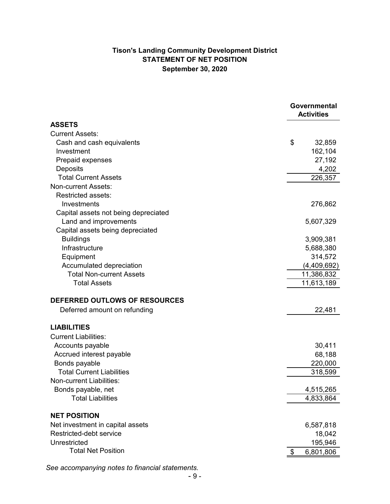# **Tison's Landing Community Development District STATEMENT OF NET POSITION September 30, 2020**

| <b>ASSETS</b><br><b>Current Assets:</b><br>\$<br>Cash and cash equivalents<br>32,859<br>Investment<br>162,104<br>Prepaid expenses<br>27,192<br>4,202<br>Deposits<br><b>Total Current Assets</b><br>226,357<br><b>Non-current Assets:</b><br><b>Restricted assets:</b><br>Investments<br>276,862<br>Capital assets not being depreciated<br>Land and improvements<br>5,607,329<br>Capital assets being depreciated<br><b>Buildings</b><br>3,909,381<br>Infrastructure<br>5,688,380<br>314,572<br>Equipment<br>Accumulated depreciation<br>(4,409,692)<br><b>Total Non-current Assets</b><br>11,386,832<br>11,613,189<br><b>Total Assets</b><br><b>DEFERRED OUTLOWS OF RESOURCES</b><br>Deferred amount on refunding<br>22,481<br><b>LIABILITIES</b><br><b>Current Liabilities:</b><br>Accounts payable<br>30,411<br>68,188<br>Accrued interest payable<br>Bonds payable<br>220,000<br><b>Total Current Liabilities</b><br>318,599<br>Non-current Liabilities:<br>4,515,265<br>Bonds payable, net<br><b>Total Liabilities</b><br>4,833,864<br><b>NET POSITION</b><br>Net investment in capital assets<br>6,587,818<br>Restricted-debt service<br>18,042<br>Unrestricted<br>195,946<br><b>Total Net Position</b><br>\$<br>6,801,806 | Governmental<br><b>Activities</b> |  |
|----------------------------------------------------------------------------------------------------------------------------------------------------------------------------------------------------------------------------------------------------------------------------------------------------------------------------------------------------------------------------------------------------------------------------------------------------------------------------------------------------------------------------------------------------------------------------------------------------------------------------------------------------------------------------------------------------------------------------------------------------------------------------------------------------------------------------------------------------------------------------------------------------------------------------------------------------------------------------------------------------------------------------------------------------------------------------------------------------------------------------------------------------------------------------------------------------------------------------------|-----------------------------------|--|
|                                                                                                                                                                                                                                                                                                                                                                                                                                                                                                                                                                                                                                                                                                                                                                                                                                                                                                                                                                                                                                                                                                                                                                                                                                  |                                   |  |
|                                                                                                                                                                                                                                                                                                                                                                                                                                                                                                                                                                                                                                                                                                                                                                                                                                                                                                                                                                                                                                                                                                                                                                                                                                  |                                   |  |
|                                                                                                                                                                                                                                                                                                                                                                                                                                                                                                                                                                                                                                                                                                                                                                                                                                                                                                                                                                                                                                                                                                                                                                                                                                  |                                   |  |
|                                                                                                                                                                                                                                                                                                                                                                                                                                                                                                                                                                                                                                                                                                                                                                                                                                                                                                                                                                                                                                                                                                                                                                                                                                  |                                   |  |
|                                                                                                                                                                                                                                                                                                                                                                                                                                                                                                                                                                                                                                                                                                                                                                                                                                                                                                                                                                                                                                                                                                                                                                                                                                  |                                   |  |
|                                                                                                                                                                                                                                                                                                                                                                                                                                                                                                                                                                                                                                                                                                                                                                                                                                                                                                                                                                                                                                                                                                                                                                                                                                  |                                   |  |
|                                                                                                                                                                                                                                                                                                                                                                                                                                                                                                                                                                                                                                                                                                                                                                                                                                                                                                                                                                                                                                                                                                                                                                                                                                  |                                   |  |
|                                                                                                                                                                                                                                                                                                                                                                                                                                                                                                                                                                                                                                                                                                                                                                                                                                                                                                                                                                                                                                                                                                                                                                                                                                  |                                   |  |
|                                                                                                                                                                                                                                                                                                                                                                                                                                                                                                                                                                                                                                                                                                                                                                                                                                                                                                                                                                                                                                                                                                                                                                                                                                  |                                   |  |
|                                                                                                                                                                                                                                                                                                                                                                                                                                                                                                                                                                                                                                                                                                                                                                                                                                                                                                                                                                                                                                                                                                                                                                                                                                  |                                   |  |
|                                                                                                                                                                                                                                                                                                                                                                                                                                                                                                                                                                                                                                                                                                                                                                                                                                                                                                                                                                                                                                                                                                                                                                                                                                  |                                   |  |
|                                                                                                                                                                                                                                                                                                                                                                                                                                                                                                                                                                                                                                                                                                                                                                                                                                                                                                                                                                                                                                                                                                                                                                                                                                  |                                   |  |
|                                                                                                                                                                                                                                                                                                                                                                                                                                                                                                                                                                                                                                                                                                                                                                                                                                                                                                                                                                                                                                                                                                                                                                                                                                  |                                   |  |
|                                                                                                                                                                                                                                                                                                                                                                                                                                                                                                                                                                                                                                                                                                                                                                                                                                                                                                                                                                                                                                                                                                                                                                                                                                  |                                   |  |
|                                                                                                                                                                                                                                                                                                                                                                                                                                                                                                                                                                                                                                                                                                                                                                                                                                                                                                                                                                                                                                                                                                                                                                                                                                  |                                   |  |
|                                                                                                                                                                                                                                                                                                                                                                                                                                                                                                                                                                                                                                                                                                                                                                                                                                                                                                                                                                                                                                                                                                                                                                                                                                  |                                   |  |
|                                                                                                                                                                                                                                                                                                                                                                                                                                                                                                                                                                                                                                                                                                                                                                                                                                                                                                                                                                                                                                                                                                                                                                                                                                  |                                   |  |
|                                                                                                                                                                                                                                                                                                                                                                                                                                                                                                                                                                                                                                                                                                                                                                                                                                                                                                                                                                                                                                                                                                                                                                                                                                  |                                   |  |
|                                                                                                                                                                                                                                                                                                                                                                                                                                                                                                                                                                                                                                                                                                                                                                                                                                                                                                                                                                                                                                                                                                                                                                                                                                  |                                   |  |
|                                                                                                                                                                                                                                                                                                                                                                                                                                                                                                                                                                                                                                                                                                                                                                                                                                                                                                                                                                                                                                                                                                                                                                                                                                  |                                   |  |
|                                                                                                                                                                                                                                                                                                                                                                                                                                                                                                                                                                                                                                                                                                                                                                                                                                                                                                                                                                                                                                                                                                                                                                                                                                  |                                   |  |
|                                                                                                                                                                                                                                                                                                                                                                                                                                                                                                                                                                                                                                                                                                                                                                                                                                                                                                                                                                                                                                                                                                                                                                                                                                  |                                   |  |
|                                                                                                                                                                                                                                                                                                                                                                                                                                                                                                                                                                                                                                                                                                                                                                                                                                                                                                                                                                                                                                                                                                                                                                                                                                  |                                   |  |
|                                                                                                                                                                                                                                                                                                                                                                                                                                                                                                                                                                                                                                                                                                                                                                                                                                                                                                                                                                                                                                                                                                                                                                                                                                  |                                   |  |
|                                                                                                                                                                                                                                                                                                                                                                                                                                                                                                                                                                                                                                                                                                                                                                                                                                                                                                                                                                                                                                                                                                                                                                                                                                  |                                   |  |
|                                                                                                                                                                                                                                                                                                                                                                                                                                                                                                                                                                                                                                                                                                                                                                                                                                                                                                                                                                                                                                                                                                                                                                                                                                  |                                   |  |
|                                                                                                                                                                                                                                                                                                                                                                                                                                                                                                                                                                                                                                                                                                                                                                                                                                                                                                                                                                                                                                                                                                                                                                                                                                  |                                   |  |
|                                                                                                                                                                                                                                                                                                                                                                                                                                                                                                                                                                                                                                                                                                                                                                                                                                                                                                                                                                                                                                                                                                                                                                                                                                  |                                   |  |
|                                                                                                                                                                                                                                                                                                                                                                                                                                                                                                                                                                                                                                                                                                                                                                                                                                                                                                                                                                                                                                                                                                                                                                                                                                  |                                   |  |
|                                                                                                                                                                                                                                                                                                                                                                                                                                                                                                                                                                                                                                                                                                                                                                                                                                                                                                                                                                                                                                                                                                                                                                                                                                  |                                   |  |
|                                                                                                                                                                                                                                                                                                                                                                                                                                                                                                                                                                                                                                                                                                                                                                                                                                                                                                                                                                                                                                                                                                                                                                                                                                  |                                   |  |
|                                                                                                                                                                                                                                                                                                                                                                                                                                                                                                                                                                                                                                                                                                                                                                                                                                                                                                                                                                                                                                                                                                                                                                                                                                  |                                   |  |
|                                                                                                                                                                                                                                                                                                                                                                                                                                                                                                                                                                                                                                                                                                                                                                                                                                                                                                                                                                                                                                                                                                                                                                                                                                  |                                   |  |
|                                                                                                                                                                                                                                                                                                                                                                                                                                                                                                                                                                                                                                                                                                                                                                                                                                                                                                                                                                                                                                                                                                                                                                                                                                  |                                   |  |
|                                                                                                                                                                                                                                                                                                                                                                                                                                                                                                                                                                                                                                                                                                                                                                                                                                                                                                                                                                                                                                                                                                                                                                                                                                  |                                   |  |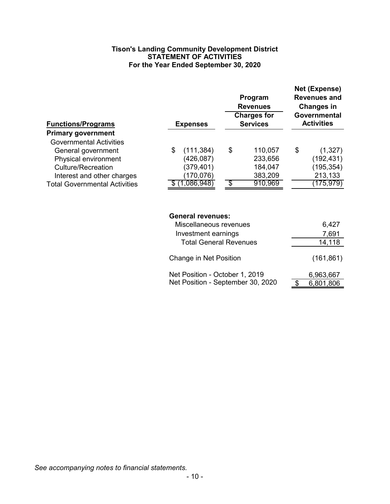### **Tison's Landing Community Development District STATEMENT OF ACTIVITIES For the Year Ended September 30, 2020**

| <b>Functions/Programs</b>            | <b>Expenses</b> |             |    | Program<br><b>Revenues</b><br><b>Charges for</b><br><b>Services</b> |   | Net (Expense)<br><b>Revenues and</b><br><b>Changes in</b><br><b>Governmental</b><br><b>Activities</b> |
|--------------------------------------|-----------------|-------------|----|---------------------------------------------------------------------|---|-------------------------------------------------------------------------------------------------------|
| <b>Primary government</b>            |                 |             |    |                                                                     |   |                                                                                                       |
| <b>Governmental Activities</b>       |                 |             |    |                                                                     |   |                                                                                                       |
| General government                   | \$              | (111, 384)  | \$ | 110,057                                                             | S | (1, 327)                                                                                              |
| Physical environment                 |                 | (426,087)   |    | 233,656                                                             |   | (192, 431)                                                                                            |
| Culture/Recreation                   |                 | (379, 401)  |    | 184,047                                                             |   | (195, 354)                                                                                            |
| Interest and other charges           |                 | 170,076)    |    | 383,209                                                             |   | 213,133                                                                                               |
| <b>Total Governmental Activities</b> |                 | (1,086,948) | .ፍ | 910,969                                                             |   | (175, 979)                                                                                            |
|                                      |                 |             |    |                                                                     |   |                                                                                                       |

## **General revenues:**

| 6,427      |
|------------|
| 7,691      |
| 14,118     |
| (161, 861) |
| 6,963,667  |
| 6,801,806  |
|            |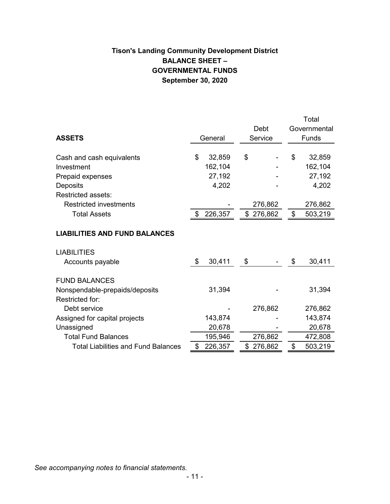# **Tison's Landing Community Development District BALANCE SHEET – GOVERNMENTAL FUNDS September 30, 2020**

|                                            |         |         |               | Total         |         |       |
|--------------------------------------------|---------|---------|---------------|---------------|---------|-------|
|                                            |         |         | Debt          | Governmental  |         |       |
| <b>ASSETS</b>                              | General |         |               |               | Service | Funds |
|                                            |         |         |               |               |         |       |
| Cash and cash equivalents                  | \$      | 32,859  | \$            | \$<br>32,859  |         |       |
| Investment                                 |         | 162,104 |               | 162,104       |         |       |
| Prepaid expenses                           |         | 27,192  |               | 27,192        |         |       |
| <b>Deposits</b>                            |         | 4,202   |               | 4,202         |         |       |
| <b>Restricted assets:</b>                  |         |         |               |               |         |       |
| <b>Restricted investments</b>              |         |         | 276,862       | 276,862       |         |       |
| <b>Total Assets</b>                        | \$      | 226,357 | \$ 276,862    | \$<br>503,219 |         |       |
|                                            |         |         |               |               |         |       |
| <b>LIABILITIES AND FUND BALANCES</b>       |         |         |               |               |         |       |
|                                            |         |         |               |               |         |       |
| <b>LIABILITIES</b>                         |         |         |               |               |         |       |
| Accounts payable                           | \$      | 30,411  | \$            | \$<br>30,411  |         |       |
|                                            |         |         |               |               |         |       |
| <b>FUND BALANCES</b>                       |         |         |               |               |         |       |
| Nonspendable-prepaids/deposits             |         | 31,394  |               | 31,394        |         |       |
| Restricted for:                            |         |         |               |               |         |       |
| Debt service                               |         |         | 276,862       | 276,862       |         |       |
| Assigned for capital projects              |         | 143,874 |               | 143,874       |         |       |
| Unassigned                                 |         | 20,678  |               | 20,678        |         |       |
| <b>Total Fund Balances</b>                 |         | 195,946 | 276,862       | 472,808       |         |       |
| <b>Total Liabilities and Fund Balances</b> | \$      | 226,357 | \$<br>276,862 | \$<br>503,219 |         |       |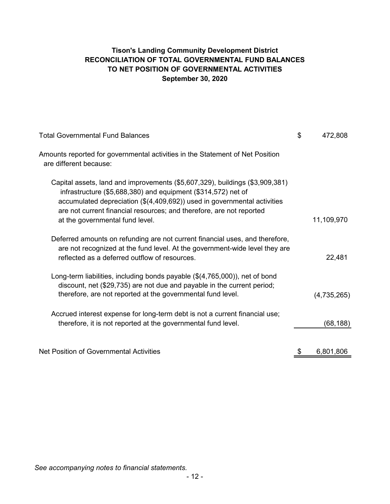# **Tison's Landing Community Development District RECONCILIATION OF TOTAL GOVERNMENTAL FUND BALANCES TO NET POSITION OF GOVERNMENTAL ACTIVITIES September 30, 2020**

| Total Governmental Fund Balances                                                                                                                                                                                                                                                                    | \$<br>472,808 |
|-----------------------------------------------------------------------------------------------------------------------------------------------------------------------------------------------------------------------------------------------------------------------------------------------------|---------------|
| Amounts reported for governmental activities in the Statement of Net Position<br>are different because:                                                                                                                                                                                             |               |
| Capital assets, land and improvements (\$5,607,329), buildings (\$3,909,381)<br>infrastructure (\$5,688,380) and equipment (\$314,572) net of<br>accumulated depreciation $(\$(4,409,692))$ used in governmental activities<br>are not current financial resources; and therefore, are not reported |               |
| at the governmental fund level.                                                                                                                                                                                                                                                                     | 11,109,970    |
| Deferred amounts on refunding are not current financial uses, and therefore,<br>are not recognized at the fund level. At the government-wide level they are<br>reflected as a deferred outflow of resources.                                                                                        | 22,481        |
| Long-term liabilities, including bonds payable (\$(4,765,000)), net of bond<br>discount, net (\$29,735) are not due and payable in the current period;<br>therefore, are not reported at the governmental fund level.                                                                               | (4,735,265)   |
| Accrued interest expense for long-term debt is not a current financial use;<br>therefore, it is not reported at the governmental fund level.                                                                                                                                                        | (68, 188)     |
| <b>Net Position of Governmental Activities</b>                                                                                                                                                                                                                                                      | 6,801,806     |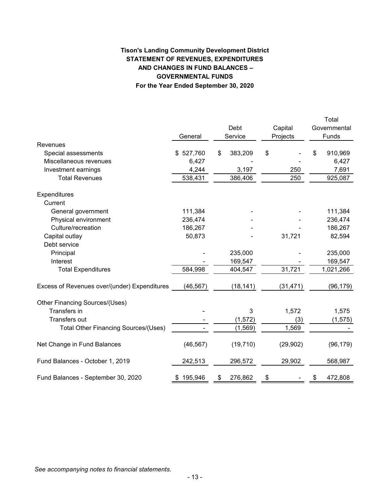# **STATEMENT OF REVENUES, EXPENDITURES Tison's Landing Community Development District GOVERNMENTAL FUNDS For the Year Ended September 30, 2020 AND CHANGES IN FUND BALANCES –**

|                                              |           |               |           | Total         |  |
|----------------------------------------------|-----------|---------------|-----------|---------------|--|
|                                              |           | Debt          | Capital   | Governmental  |  |
|                                              | General   | Service       | Projects  | Funds         |  |
| Revenues                                     |           |               |           |               |  |
| Special assessments                          | \$527,760 | 383,209<br>\$ | \$        | 910,969<br>\$ |  |
| Miscellaneous revenues                       | 6,427     |               |           | 6,427         |  |
| Investment earnings                          | 4,244     | 3,197         | 250       | 7,691         |  |
| <b>Total Revenues</b>                        | 538,431   | 386,406       | 250       | 925,087       |  |
| Expenditures                                 |           |               |           |               |  |
| Current                                      |           |               |           |               |  |
| General government                           | 111,384   |               |           | 111,384       |  |
| Physical environment                         | 236,474   |               |           | 236,474       |  |
| Culture/recreation                           | 186,267   |               |           | 186,267       |  |
| Capital outlay                               | 50,873    |               | 31,721    | 82,594        |  |
| Debt service                                 |           |               |           |               |  |
| Principal                                    |           | 235,000       |           | 235,000       |  |
| Interest                                     |           | 169,547       |           | 169,547       |  |
| <b>Total Expenditures</b>                    | 584,998   | 404,547       | 31,721    | 1,021,266     |  |
| Excess of Revenues over/(under) Expenditures | (46, 567) | (18, 141)     | (31, 471) | (96, 179)     |  |
| Other Financing Sources/(Uses)               |           |               |           |               |  |
| <b>Transfers in</b>                          |           | 3             | 1,572     | 1,575         |  |
| <b>Transfers out</b>                         |           | (1, 572)      | (3)       | (1, 575)      |  |
| <b>Total Other Financing Sources/(Uses)</b>  |           | (1, 569)      | 1,569     |               |  |
| Net Change in Fund Balances                  | (46, 567) | (19, 710)     | (29, 902) | (96, 179)     |  |
| Fund Balances - October 1, 2019              | 242,513   | 296,572       | 29,902    | 568,987       |  |
| Fund Balances - September 30, 2020           | 195,946   | 276,862       |           | 472,808       |  |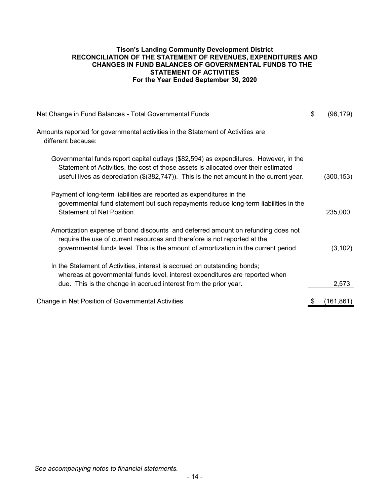### **CHANGES IN FUND BALANCES OF GOVERNMENTAL FUNDS TO THE Tison's Landing Community Development District RECONCILIATION OF THE STATEMENT OF REVENUES, EXPENDITURES AND STATEMENT OF ACTIVITIES For the Year Ended September 30, 2020**

| Net Change in Fund Balances - Total Governmental Funds                                                                                                                                                                                                                  | \$<br>(96, 179)  |
|-------------------------------------------------------------------------------------------------------------------------------------------------------------------------------------------------------------------------------------------------------------------------|------------------|
| Amounts reported for governmental activities in the Statement of Activities are<br>different because:                                                                                                                                                                   |                  |
| Governmental funds report capital outlays (\$82,594) as expenditures. However, in the<br>Statement of Activities, the cost of those assets is allocated over their estimated<br>useful lives as depreciation (\$(382,747)). This is the net amount in the current year. | (300, 153)       |
| Payment of long-term liabilities are reported as expenditures in the<br>governmental fund statement but such repayments reduce long-term liabilities in the<br>Statement of Net Position.                                                                               | 235,000          |
| Amortization expense of bond discounts and deferred amount on refunding does not<br>require the use of current resources and therefore is not reported at the<br>governmental funds level. This is the amount of amortization in the current period.                    | (3, 102)         |
| In the Statement of Activities, interest is accrued on outstanding bonds;<br>whereas at governmental funds level, interest expenditures are reported when<br>due. This is the change in accrued interest from the prior year.                                           | 2,573            |
| Change in Net Position of Governmental Activities                                                                                                                                                                                                                       | \$<br>(161, 861) |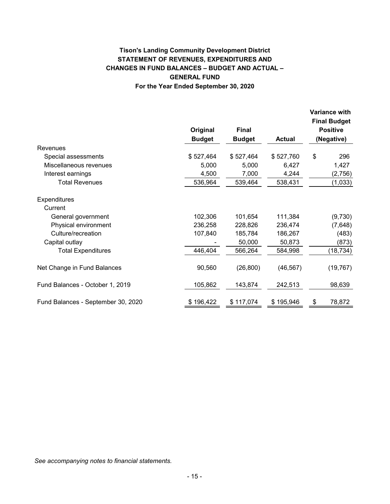# **For the Year Ended September 30, 2020 Tison's Landing Community Development District STATEMENT OF REVENUES, EXPENDITURES AND CHANGES IN FUND BALANCES – BUDGET AND ACTUAL – GENERAL FUND**

|                                    | Original<br><b>Budget</b> | <b>Final</b><br><b>Budget</b> | <b>Actual</b> | <b>Variance with</b><br><b>Final Budget</b><br><b>Positive</b><br>(Negative) |  |
|------------------------------------|---------------------------|-------------------------------|---------------|------------------------------------------------------------------------------|--|
| Revenues                           |                           |                               |               |                                                                              |  |
| Special assessments                | \$527,464                 | \$527,464                     | \$527,760     | \$<br>296                                                                    |  |
| Miscellaneous revenues             | 5,000                     | 5,000                         | 6,427         | 1,427                                                                        |  |
| Interest earnings                  | 4,500                     | 7,000                         | 4,244         | (2,756)                                                                      |  |
| <b>Total Revenues</b>              | 536,964                   | 539,464                       | 538,431       | (1,033)                                                                      |  |
| Expenditures                       |                           |                               |               |                                                                              |  |
| Current                            |                           |                               |               |                                                                              |  |
| General government                 | 102,306                   | 101,654                       | 111,384       | (9,730)                                                                      |  |
| Physical environment               | 236,258                   | 228,826                       | 236,474       | (7,648)                                                                      |  |
| Culture/recreation                 | 107,840                   | 185,784                       | 186,267       | (483)                                                                        |  |
| Capital outlay                     |                           | 50,000                        | 50,873        | (873)                                                                        |  |
| <b>Total Expenditures</b>          | 446,404                   | 566,264                       | 584,998       | (18, 734)                                                                    |  |
| Net Change in Fund Balances        | 90,560                    | (26, 800)                     | (46, 567)     | (19, 767)                                                                    |  |
| Fund Balances - October 1, 2019    | 105,862                   | 143,874                       | 242,513       | 98,639                                                                       |  |
| Fund Balances - September 30, 2020 | \$196,422                 | \$117,074                     | \$195,946     | 78,872<br>\$                                                                 |  |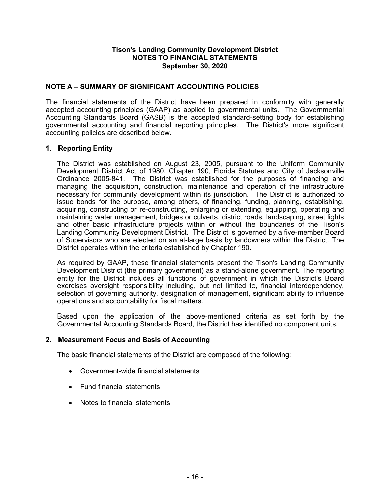## **NOTE A – SUMMARY OF SIGNIFICANT ACCOUNTING POLICIES**

The financial statements of the District have been prepared in conformity with generally accepted accounting principles (GAAP) as applied to governmental units. The Governmental Accounting Standards Board (GASB) is the accepted standard-setting body for establishing governmental accounting and financial reporting principles. The District's more significant accounting policies are described below.

### **1. Reporting Entity**

The District was established on August 23, 2005, pursuant to the Uniform Community Development District Act of 1980, Chapter 190, Florida Statutes and City of Jacksonville Ordinance 2005-841. The District was established for the purposes of financing and managing the acquisition, construction, maintenance and operation of the infrastructure necessary for community development within its jurisdiction. The District is authorized to issue bonds for the purpose, among others, of financing, funding, planning, establishing, acquiring, constructing or re-constructing, enlarging or extending, equipping, operating and maintaining water management, bridges or culverts, district roads, landscaping, street lights and other basic infrastructure projects within or without the boundaries of the Tison's Landing Community Development District. The District is governed by a five-member Board of Supervisors who are elected on an at-large basis by landowners within the District. The District operates within the criteria established by Chapter 190.

As required by GAAP, these financial statements present the Tison's Landing Community Development District (the primary government) as a stand-alone government. The reporting entity for the District includes all functions of government in which the District's Board exercises oversight responsibility including, but not limited to, financial interdependency, selection of governing authority, designation of management, significant ability to influence operations and accountability for fiscal matters.

Based upon the application of the above-mentioned criteria as set forth by the Governmental Accounting Standards Board, the District has identified no component units.

### **2. Measurement Focus and Basis of Accounting**

The basic financial statements of the District are composed of the following:

- Government-wide financial statements
- Fund financial statements
- Notes to financial statements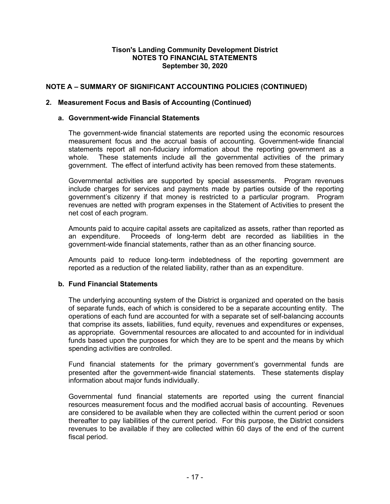## **NOTE A – SUMMARY OF SIGNIFICANT ACCOUNTING POLICIES (CONTINUED)**

### **2. Measurement Focus and Basis of Accounting (Continued)**

### **a. Government-wide Financial Statements**

The government-wide financial statements are reported using the economic resources measurement focus and the accrual basis of accounting. Government-wide financial statements report all non-fiduciary information about the reporting government as a whole. These statements include all the governmental activities of the primary government. The effect of interfund activity has been removed from these statements.

Governmental activities are supported by special assessments. Program revenues include charges for services and payments made by parties outside of the reporting government's citizenry if that money is restricted to a particular program. Program revenues are netted with program expenses in the Statement of Activities to present the net cost of each program.

Amounts paid to acquire capital assets are capitalized as assets, rather than reported as an expenditure. Proceeds of long-term debt are recorded as liabilities in the government-wide financial statements, rather than as an other financing source.

Amounts paid to reduce long-term indebtedness of the reporting government are reported as a reduction of the related liability, rather than as an expenditure.

### **b. Fund Financial Statements**

The underlying accounting system of the District is organized and operated on the basis of separate funds, each of which is considered to be a separate accounting entity. The operations of each fund are accounted for with a separate set of self-balancing accounts that comprise its assets, liabilities, fund equity, revenues and expenditures or expenses, as appropriate. Governmental resources are allocated to and accounted for in individual funds based upon the purposes for which they are to be spent and the means by which spending activities are controlled.

Fund financial statements for the primary government's governmental funds are presented after the government-wide financial statements. These statements display information about major funds individually.

Governmental fund financial statements are reported using the current financial resources measurement focus and the modified accrual basis of accounting. Revenues are considered to be available when they are collected within the current period or soon thereafter to pay liabilities of the current period. For this purpose, the District considers revenues to be available if they are collected within 60 days of the end of the current fiscal period.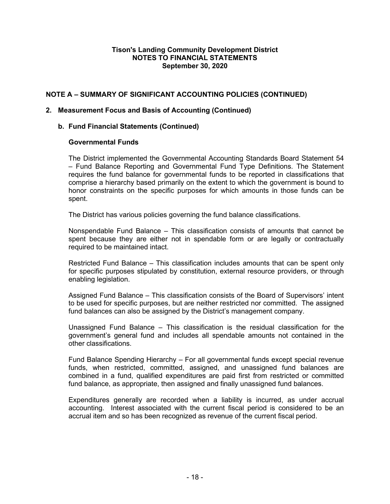## **NOTE A – SUMMARY OF SIGNIFICANT ACCOUNTING POLICIES (CONTINUED)**

### **2. Measurement Focus and Basis of Accounting (Continued)**

### **b. Fund Financial Statements (Continued)**

### **Governmental Funds**

The District implemented the Governmental Accounting Standards Board Statement 54 – Fund Balance Reporting and Governmental Fund Type Definitions. The Statement requires the fund balance for governmental funds to be reported in classifications that comprise a hierarchy based primarily on the extent to which the government is bound to honor constraints on the specific purposes for which amounts in those funds can be spent.

The District has various policies governing the fund balance classifications.

Nonspendable Fund Balance – This classification consists of amounts that cannot be spent because they are either not in spendable form or are legally or contractually required to be maintained intact.

Restricted Fund Balance – This classification includes amounts that can be spent only for specific purposes stipulated by constitution, external resource providers, or through enabling legislation.

Assigned Fund Balance – This classification consists of the Board of Supervisors' intent to be used for specific purposes, but are neither restricted nor committed. The assigned fund balances can also be assigned by the District's management company.

Unassigned Fund Balance – This classification is the residual classification for the government's general fund and includes all spendable amounts not contained in the other classifications.

Fund Balance Spending Hierarchy – For all governmental funds except special revenue funds, when restricted, committed, assigned, and unassigned fund balances are combined in a fund, qualified expenditures are paid first from restricted or committed fund balance, as appropriate, then assigned and finally unassigned fund balances.

Expenditures generally are recorded when a liability is incurred, as under accrual accounting. Interest associated with the current fiscal period is considered to be an accrual item and so has been recognized as revenue of the current fiscal period.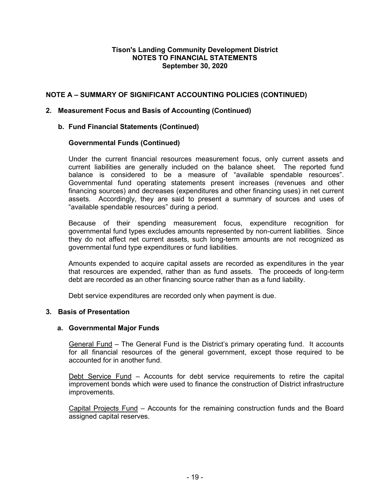## **NOTE A – SUMMARY OF SIGNIFICANT ACCOUNTING POLICIES (CONTINUED)**

### **2. Measurement Focus and Basis of Accounting (Continued)**

### **b. Fund Financial Statements (Continued)**

### **Governmental Funds (Continued)**

Under the current financial resources measurement focus, only current assets and current liabilities are generally included on the balance sheet. The reported fund balance is considered to be a measure of "available spendable resources". Governmental fund operating statements present increases (revenues and other financing sources) and decreases (expenditures and other financing uses) in net current assets. Accordingly, they are said to present a summary of sources and uses of "available spendable resources" during a period.

Because of their spending measurement focus, expenditure recognition for governmental fund types excludes amounts represented by non-current liabilities. Since they do not affect net current assets, such long-term amounts are not recognized as governmental fund type expenditures or fund liabilities.

Amounts expended to acquire capital assets are recorded as expenditures in the year that resources are expended, rather than as fund assets. The proceeds of long-term debt are recorded as an other financing source rather than as a fund liability.

Debt service expenditures are recorded only when payment is due.

### **3. Basis of Presentation**

### **a. Governmental Major Funds**

General Fund – The General Fund is the District's primary operating fund. It accounts for all financial resources of the general government, except those required to be accounted for in another fund.

Debt Service Fund – Accounts for debt service requirements to retire the capital improvement bonds which were used to finance the construction of District infrastructure improvements.

Capital Projects Fund – Accounts for the remaining construction funds and the Board assigned capital reserves.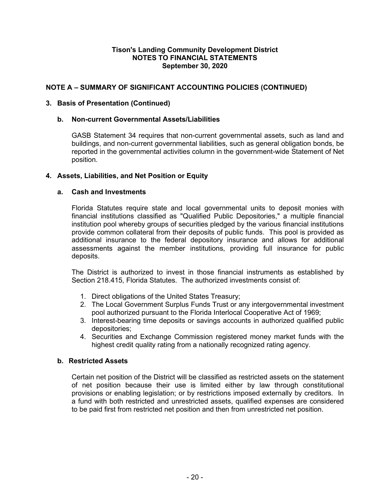## **NOTE A – SUMMARY OF SIGNIFICANT ACCOUNTING POLICIES (CONTINUED)**

### **3. Basis of Presentation (Continued)**

### **b. Non-current Governmental Assets/Liabilities**

GASB Statement 34 requires that non-current governmental assets, such as land and buildings, and non-current governmental liabilities, such as general obligation bonds, be reported in the governmental activities column in the government-wide Statement of Net position.

### **4. Assets, Liabilities, and Net Position or Equity**

### **a. Cash and Investments**

Florida Statutes require state and local governmental units to deposit monies with financial institutions classified as "Qualified Public Depositories," a multiple financial institution pool whereby groups of securities pledged by the various financial institutions provide common collateral from their deposits of public funds. This pool is provided as additional insurance to the federal depository insurance and allows for additional assessments against the member institutions, providing full insurance for public deposits.

The District is authorized to invest in those financial instruments as established by Section 218.415, Florida Statutes. The authorized investments consist of:

- 1. Direct obligations of the United States Treasury;
- 2. The Local Government Surplus Funds Trust or any intergovernmental investment pool authorized pursuant to the Florida Interlocal Cooperative Act of 1969;
- 3. Interest-bearing time deposits or savings accounts in authorized qualified public depositories;
- 4. Securities and Exchange Commission registered money market funds with the highest credit quality rating from a nationally recognized rating agency.

### **b. Restricted Assets**

Certain net position of the District will be classified as restricted assets on the statement of net position because their use is limited either by law through constitutional provisions or enabling legislation; or by restrictions imposed externally by creditors. In a fund with both restricted and unrestricted assets, qualified expenses are considered to be paid first from restricted net position and then from unrestricted net position.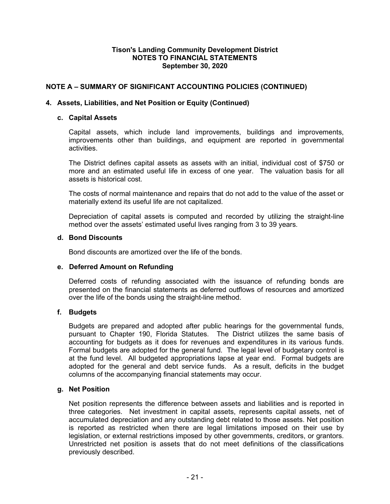## **NOTE A – SUMMARY OF SIGNIFICANT ACCOUNTING POLICIES (CONTINUED)**

### **4. Assets, Liabilities, and Net Position or Equity (Continued)**

### **c. Capital Assets**

Capital assets, which include land improvements, buildings and improvements, improvements other than buildings, and equipment are reported in governmental activities.

The District defines capital assets as assets with an initial, individual cost of \$750 or more and an estimated useful life in excess of one year. The valuation basis for all assets is historical cost.

The costs of normal maintenance and repairs that do not add to the value of the asset or materially extend its useful life are not capitalized.

Depreciation of capital assets is computed and recorded by utilizing the straight-line method over the assets' estimated useful lives ranging from 3 to 39 years.

### **d. Bond Discounts**

Bond discounts are amortized over the life of the bonds.

### **e. Deferred Amount on Refunding**

Deferred costs of refunding associated with the issuance of refunding bonds are presented on the financial statements as deferred outflows of resources and amortized over the life of the bonds using the straight-line method.

### **f. Budgets**

Budgets are prepared and adopted after public hearings for the governmental funds, pursuant to Chapter 190, Florida Statutes. The District utilizes the same basis of accounting for budgets as it does for revenues and expenditures in its various funds. Formal budgets are adopted for the general fund. The legal level of budgetary control is at the fund level. All budgeted appropriations lapse at year end. Formal budgets are adopted for the general and debt service funds. As a result, deficits in the budget columns of the accompanying financial statements may occur.

### **g. Net Position**

Net position represents the difference between assets and liabilities and is reported in three categories. Net investment in capital assets, represents capital assets, net of accumulated depreciation and any outstanding debt related to those assets. Net position is reported as restricted when there are legal limitations imposed on their use by legislation, or external restrictions imposed by other governments, creditors, or grantors. Unrestricted net position is assets that do not meet definitions of the classifications previously described.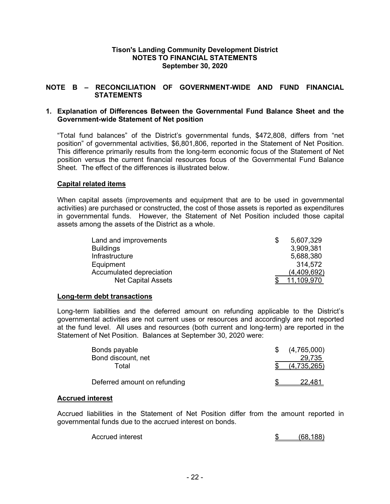### **NOTE B – RECONCILIATION OF GOVERNMENT-WIDE AND FUND FINANCIAL STATEMENTS**

### **1. Explanation of Differences Between the Governmental Fund Balance Sheet and the Government-wide Statement of Net position**

"Total fund balances" of the District's governmental funds, \$472,808, differs from "net position" of governmental activities, \$6,801,806, reported in the Statement of Net Position. This difference primarily results from the long-term economic focus of the Statement of Net position versus the current financial resources focus of the Governmental Fund Balance Sheet. The effect of the differences is illustrated below.

### **Capital related items**

When capital assets (improvements and equipment that are to be used in governmental activities) are purchased or constructed, the cost of those assets is reported as expenditures in governmental funds. However, the Statement of Net Position included those capital assets among the assets of the District as a whole.

| Land and improvements     | 5,607,329   |
|---------------------------|-------------|
| <b>Buildings</b>          | 3,909,381   |
| Infrastructure            | 5,688,380   |
| Equipment                 | 314,572     |
| Accumulated depreciation  | (4,409,692) |
| <b>Net Capital Assets</b> | 11,109,970  |

### **Long-term debt transactions**

Long-term liabilities and the deferred amount on refunding applicable to the District's governmental activities are not current uses or resources and accordingly are not reported at the fund level. All uses and resources (both current and long-term) are reported in the Statement of Net Position. Balances at September 30, 2020 were:

| Bonds payable<br>Bond discount, net | (4,765,000)<br>29,735 |
|-------------------------------------|-----------------------|
| Total                               | (4,735,265)           |
| Deferred amount on refunding        | 22 481                |

## **Accrued interest**

Accrued liabilities in the Statement of Net Position differ from the amount reported in governmental funds due to the accrued interest on bonds.

Accrued interest 68.188)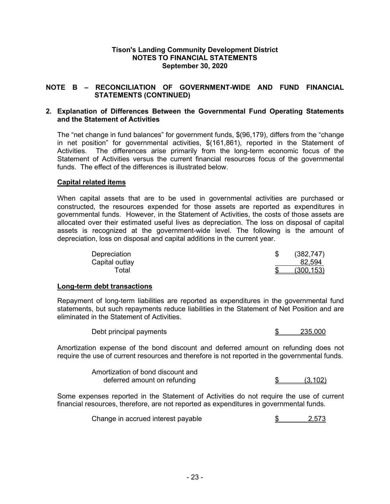### **NOTE B – RECONCILIATION OF GOVERNMENT-WIDE AND FUND FINANCIAL STATEMENTS (CONTINUED)**

### **2. Explanation of Differences Between the Governmental Fund Operating Statements and the Statement of Activities**

The "net change in fund balances" for government funds, \$(96,179), differs from the "change in net position" for governmental activities, \$(161,861), reported in the Statement of Activities. The differences arise primarily from the long-term economic focus of the Statement of Activities versus the current financial resources focus of the governmental funds. The effect of the differences is illustrated below.

### **Capital related items**

When capital assets that are to be used in governmental activities are purchased or constructed, the resources expended for those assets are reported as expenditures in governmental funds. However, in the Statement of Activities, the costs of those assets are allocated over their estimated useful lives as depreciation. The loss on disposal of capital assets is recognized at the government-wide level. The following is the amount of depreciation, loss on disposal and capital additions in the current year.

| (382, 747) |
|------------|
| 82,594     |
| (300, 153) |
|            |

### **Long-term debt transactions**

Repayment of long-term liabilities are reported as expenditures in the governmental fund statements, but such repayments reduce liabilities in the Statement of Net Position and are eliminated in the Statement of Activities.

| Debt principal payments | 235,000 |
|-------------------------|---------|
|                         |         |

Amortization expense of the bond discount and deferred amount on refunding does not require the use of current resources and therefore is not reported in the governmental funds.

| Amortization of bond discount and |  |         |
|-----------------------------------|--|---------|
| deferred amount on refunding      |  | (3.102) |

Some expenses reported in the Statement of Activities do not require the use of current financial resources, therefore, are not reported as expenditures in governmental funds.

Change in accrued interest payable  $\frac{1}{2}$   $\frac{1}{2.573}$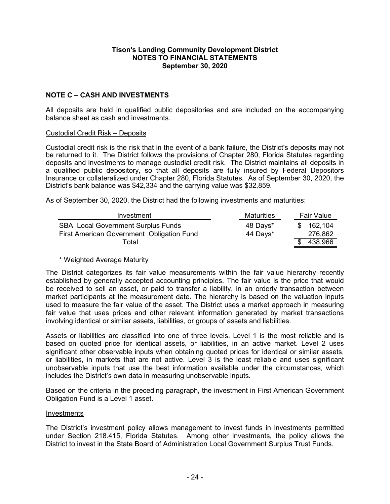## **NOTE C – CASH AND INVESTMENTS**

All deposits are held in qualified public depositories and are included on the accompanying balance sheet as cash and investments.

### Custodial Credit Risk – Deposits

Custodial credit risk is the risk that in the event of a bank failure, the District's deposits may not be returned to it. The District follows the provisions of Chapter 280, Florida Statutes regarding deposits and investments to manage custodial credit risk. The District maintains all deposits in a qualified public depository, so that all deposits are fully insured by Federal Depositors Insurance or collateralized under Chapter 280, Florida Statutes. As of September 30, 2020, the District's bank balance was \$42,334 and the carrying value was \$32,859.

As of September 30, 2020, the District had the following investments and maturities:

| Investment                                | <b>Maturities</b> | <b>Fair Value</b> |
|-------------------------------------------|-------------------|-------------------|
| <b>SBA Local Government Surplus Funds</b> | 48 Days*          | \$ 162,104        |
| First American Government Obligation Fund | 44 Days*          | 276,862           |
| Total                                     |                   | 438,966           |

## \* Weighted Average Maturity

 $\overline{a}$ The District categorizes its fair value measurements within the fair value hierarchy recently established by generally accepted accounting principles. The fair value is the price that would be received to sell an asset, or paid to transfer a liability, in an orderly transaction between market participants at the measurement date. The hierarchy is based on the valuation inputs used to measure the fair value of the asset. The District uses a market approach in measuring fair value that uses prices and other relevant information generated by market transactions involving identical or similar assets, liabilities, or groups of assets and liabilities.

Assets or liabilities are classified into one of three levels. Level 1 is the most reliable and is based on quoted price for identical assets, or liabilities, in an active market. Level 2 uses significant other observable inputs when obtaining quoted prices for identical or similar assets, or liabilities, in markets that are not active. Level 3 is the least reliable and uses significant unobservable inputs that use the best information available under the circumstances, which includes the District's own data in measuring unobservable inputs.

Based on the criteria in the preceding paragraph, the investment in First American Government Obligation Fund is a Level 1 asset.

### Investments

The District's investment policy allows management to invest funds in investments permitted under Section 218.415, Florida Statutes. Among other investments, the policy allows the District to invest in the State Board of Administration Local Government Surplus Trust Funds.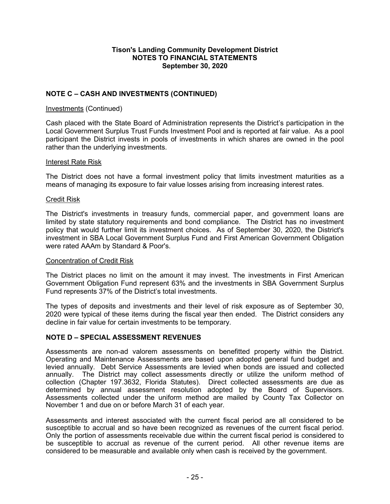## **NOTE C – CASH AND INVESTMENTS (CONTINUED)**

### Investments (Continued)

Cash placed with the State Board of Administration represents the District's participation in the Local Government Surplus Trust Funds Investment Pool and is reported at fair value. As a pool participant the District invests in pools of investments in which shares are owned in the pool rather than the underlying investments.

### Interest Rate Risk

The District does not have a formal investment policy that limits investment maturities as a means of managing its exposure to fair value losses arising from increasing interest rates.

### Credit Risk

The District's investments in treasury funds, commercial paper, and government loans are limited by state statutory requirements and bond compliance. The District has no investment policy that would further limit its investment choices. As of September 30, 2020, the District's investment in SBA Local Government Surplus Fund and First American Government Obligation were rated AAAm by Standard & Poor's.

### Concentration of Credit Risk

The District places no limit on the amount it may invest. The investments in First American Government Obligation Fund represent 63% and the investments in SBA Government Surplus Fund represents 37% of the District's total investments.

The types of deposits and investments and their level of risk exposure as of September 30, 2020 were typical of these items during the fiscal year then ended. The District considers any decline in fair value for certain investments to be temporary.

## **NOTE D – SPECIAL ASSESSMENT REVENUES**

Assessments are non-ad valorem assessments on benefitted property within the District. Operating and Maintenance Assessments are based upon adopted general fund budget and levied annually. Debt Service Assessments are levied when bonds are issued and collected annually. The District may collect assessments directly or utilize the uniform method of collection (Chapter 197.3632, Florida Statutes). Direct collected assessments are due as determined by annual assessment resolution adopted by the Board of Supervisors. Assessments collected under the uniform method are mailed by County Tax Collector on November 1 and due on or before March 31 of each year.

Assessments and interest associated with the current fiscal period are all considered to be susceptible to accrual and so have been recognized as revenues of the current fiscal period. Only the portion of assessments receivable due within the current fiscal period is considered to be susceptible to accrual as revenue of the current period. All other revenue items are considered to be measurable and available only when cash is received by the government.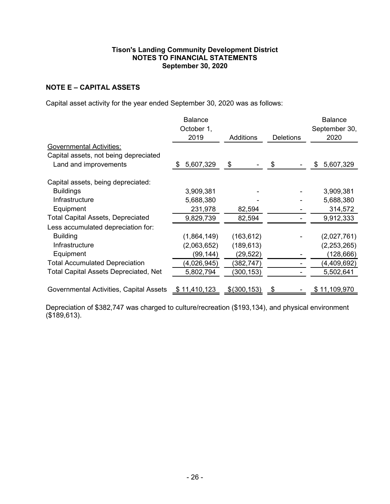# **NOTE E – CAPITAL ASSETS**

Capital asset activity for the year ended September 30, 2020 was as follows:

|                                              | <b>Balance</b>                               |              |      | <b>Balance</b>  |
|----------------------------------------------|----------------------------------------------|--------------|------|-----------------|
|                                              | October 1,                                   |              |      | September 30,   |
|                                              | 2019<br><b>Additions</b><br><b>Deletions</b> |              | 2020 |                 |
| <b>Governmental Activities:</b>              |                                              |              |      |                 |
| Capital assets, not being depreciated        |                                              |              |      |                 |
| Land and improvements                        | 5,607,329<br>\$.                             | \$           | \$   | 5,607,329<br>\$ |
| Capital assets, being depreciated:           |                                              |              |      |                 |
| <b>Buildings</b>                             | 3,909,381                                    |              |      | 3,909,381       |
| Infrastructure                               | 5,688,380                                    |              |      | 5,688,380       |
| Equipment                                    | 231,978                                      | 82,594       |      | 314,572         |
| <b>Total Capital Assets, Depreciated</b>     | 9,829,739                                    | 82,594       |      | 9,912,333       |
| Less accumulated depreciation for:           |                                              |              |      |                 |
| <b>Building</b>                              | (1,864,149)                                  | (163, 612)   |      | (2,027,761)     |
| Infrastructure                               | (2,063,652)                                  | (189, 613)   |      | (2, 253, 265)   |
| Equipment                                    | (99,144)                                     | (29,522)     |      | (128, 666)      |
| <b>Total Accumulated Depreciation</b>        | (4,026,945)                                  | (382,747)    |      | (4,409,692)     |
| <b>Total Capital Assets Depreciated, Net</b> | 5,802,794                                    | (300, 153)   |      | 5,502,641       |
|                                              |                                              |              |      |                 |
| Governmental Activities, Capital Assets      | \$11,410,123                                 | \$(300, 153) | \$   | \$11,109,970    |

Depreciation of \$382,747 was charged to culture/recreation (\$193,134), and physical environment (\$189,613).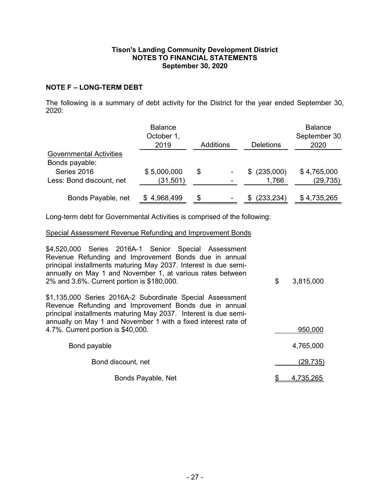### **NOTE F – LONG-TERM DEBT**

The following is a summary of debt activity for the District for the year ended September 30, 2020:

|                                | <b>Balance</b><br>October 1,<br>2019 | <b>Additions</b><br><b>Deletions</b> |  |                | <b>Balance</b><br>September 30.<br>2020 |
|--------------------------------|--------------------------------------|--------------------------------------|--|----------------|-----------------------------------------|
| <b>Governmental Activities</b> |                                      |                                      |  |                |                                         |
| Bonds payable:                 |                                      |                                      |  |                |                                         |
| Series 2016                    | \$5,000,000                          | \$                                   |  | (235,000)<br>S | \$4,765,000                             |
| Less: Bond discount, net       | (31, 501)                            |                                      |  | 1,766          | (29,735)                                |
|                                |                                      |                                      |  |                |                                         |
| Bonds Payable, net             | \$4,968,499                          | \$                                   |  | (233,234)      | \$4,735,265                             |

Long-term debt for Governmental Activities is comprised of the following:

## Special Assessment Revenue Refunding and Improvement Bonds

| \$4,520,000 Series 2016A-1 Senior Special Assessment<br>Revenue Refunding and Improvement Bonds due in annual<br>principal installments maturing May 2037. Interest is due semi-<br>annually on May 1 and November 1, at various rates between<br>2% and 3.6%. Current portion is \$180,000. | \$<br>3,815,000  |
|----------------------------------------------------------------------------------------------------------------------------------------------------------------------------------------------------------------------------------------------------------------------------------------------|------------------|
| \$1,135,000 Series 2016A-2 Subordinate Special Assessment<br>Revenue Refunding and Improvement Bonds due in annual<br>principal installments maturing May 2037. Interest is due semi-<br>annually on May 1 and November 1 with a fixed interest rate of                                      |                  |
| 4.7%. Current portion is \$40,000.                                                                                                                                                                                                                                                           | 950,000          |
| Bond payable                                                                                                                                                                                                                                                                                 | 4,765,000        |
| Bond discount, net                                                                                                                                                                                                                                                                           | (29, 735)        |
| Bonds Payable, Net                                                                                                                                                                                                                                                                           | <u>4,735,265</u> |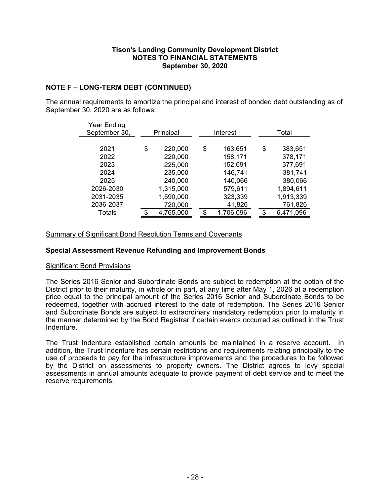## **NOTE F – LONG-TERM DEBT (CONTINUED)**

The annual requirements to amortize the principal and interest of bonded debt outstanding as of September 30, 2020 are as follows:

| Year Ending   |    |           |                 |    |           |
|---------------|----|-----------|-----------------|----|-----------|
| September 30, |    | Principal | Interest        |    | Total     |
|               |    |           |                 |    |           |
| 2021          | \$ | 220,000   | \$<br>163,651   | \$ | 383,651   |
| 2022          |    | 220,000   | 158,171         |    | 378,171   |
| 2023          |    | 225,000   | 152,691         |    | 377,691   |
| 2024          |    | 235,000   | 146,741         |    | 381,741   |
| 2025          |    | 240,000   | 140,066         |    | 380,066   |
| 2026-2030     |    | 1,315,000 | 579,611         |    | 1,894,611 |
| 2031-2035     |    | 1,590,000 | 323,339         |    | 1,913,339 |
| 2036-2037     |    | 720,000   | 41,826          |    | 761,826   |
| Totals        | Œ  | 4,765,000 | \$<br>1,706,096 | S  | 6,471,096 |

## Summary of Significant Bond Resolution Terms and Covenants

## **Special Assessment Revenue Refunding and Improvement Bonds**

## Significant Bond Provisions

The Series 2016 Senior and Subordinate Bonds are subject to redemption at the option of the District prior to their maturity, in whole or in part, at any time after May 1, 2026 at a redemption price equal to the principal amount of the Series 2016 Senior and Subordinate Bonds to be redeemed, together with accrued interest to the date of redemption. The Series 2016 Senior and Subordinate Bonds are subject to extraordinary mandatory redemption prior to maturity in the manner determined by the Bond Registrar if certain events occurred as outlined in the Trust Indenture.

The Trust Indenture established certain amounts be maintained in a reserve account. In addition, the Trust Indenture has certain restrictions and requirements relating principally to the use of proceeds to pay for the infrastructure improvements and the procedures to be followed by the District on assessments to property owners. The District agrees to levy special assessments in annual amounts adequate to provide payment of debt service and to meet the reserve requirements.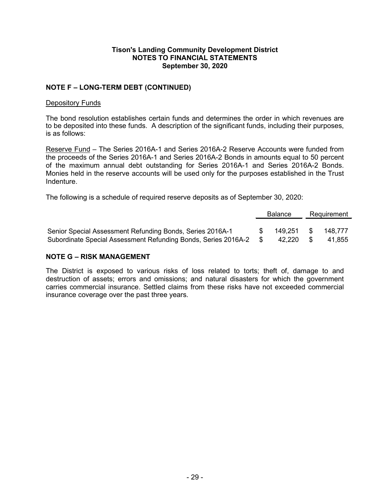## **NOTE F – LONG-TERM DEBT (CONTINUED)**

## Depository Funds

The bond resolution establishes certain funds and determines the order in which revenues are to be deposited into these funds. A description of the significant funds, including their purposes, is as follows:

Reserve Fund – The Series 2016A-1 and Series 2016A-2 Reserve Accounts were funded from the proceeds of the Series 2016A-1 and Series 2016A-2 Bonds in amounts equal to 50 percent of the maximum annual debt outstanding for Series 2016A-1 and Series 2016A-2 Bonds. Monies held in the reserve accounts will be used only for the purposes established in the Trust Indenture.

The following is a schedule of required reserve deposits as of September 30, 2020:

|                                                                |               | <b>Balance</b> | Requirement   |         |
|----------------------------------------------------------------|---------------|----------------|---------------|---------|
| Senior Special Assessment Refunding Bonds, Series 2016A-1      | $\mathcal{F}$ | 149.251        | $\mathcal{S}$ | 148.777 |
| Subordinate Special Assessment Refunding Bonds, Series 2016A-2 | S             | 42.220         | - \$          | 41.855  |

## **NOTE G – RISK MANAGEMENT**

The District is exposed to various risks of loss related to torts; theft of, damage to and destruction of assets; errors and omissions; and natural disasters for which the government carries commercial insurance. Settled claims from these risks have not exceeded commercial insurance coverage over the past three years.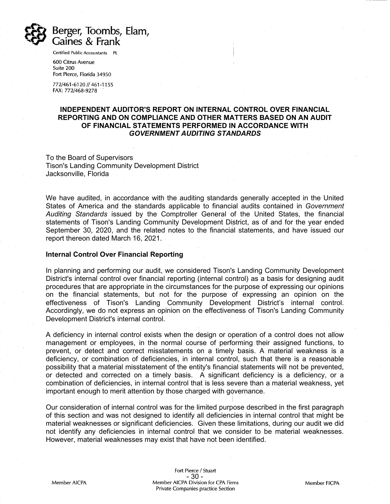

Certified Public Accountants PL

600 Citrus Avenue Suite 200 Fort Pierce, Florida 34950

772/461-6120 // 461-1155 FAX: 772/468-9278

#### **INDEPENDENT AUDITOR'S REPORT ON INTERNAL CONTROL OVER FINANCIAL REPORTING AND ON COMPLIANCE AND OTHER MATTERS BASED ON AN AUDIT OF FINANCIAL STATEMENTS PERFORMED IN ACCORDANCE WITH** *GOVERNMENT AUDITING STANDARDS*

#### To the Board of Supervisors Tison's Landing Community Development District Jacksonville, Florida

We have audited, in accordance with the auditing standards generally accepted in the United States of America and the standards applicable to financial audits contained in *Government Auditing Standards* issued by the Comptroller General of the United States, the financial statements of Tison's Landing Community Development District, as of and for the year ended September 30, 2020, and the related notes to the financial statements, and have issued our report thereon dated March 16, 2021.

#### **Internal Control Over Financial Reporting**

In planning and performing our audit, we considered Tison's Landing Community Development District's internal control over financial reporting (internal control) as a basis for designing audit procedures that are appropriate in the circumstances for the purpose of expressing our opinions on the financial statements, but not for the purpose of expressing an opinion on the effectiveness of Tison's Landing Community Development District's internal control. Accordingly, we do not express an opinion on the effectiveness of Tison's Landing Community Development District's internal control.

A deficiency in internal control exists when the design or operation of a control does not allow management or employees, in the normal course of performing their assigned functions, to prevent, or detect and correct misstatements on a timely basis. A material weakness is a deficiency, or combination of deficiencies, in internal control, such that there is a reasonable possibility that a material misstatement of the entity's financial statements will not be prevented, or detected and corrected on a timely basis. A significant deficiency is a deficiency, or a combination of deficiencies, in internal control that is less severe than a material weakness, yet important enough to merit attention by those charged with governance.

Our consideration of internal control was for the limited purpose described in the first paragraph of this section and was not designed to identify all deficiencies in internal control that might be material weaknesses or significant deficiencies. Given these limitations, during our audit we did not identify any deficiencies in internal control that we consider to be material weaknesses. However, material weaknesses may exist that have not been identified.

Fort Pierce / Stuart - 30 -<br>Member AICPA Division for CPA Firms Private Companies practice Section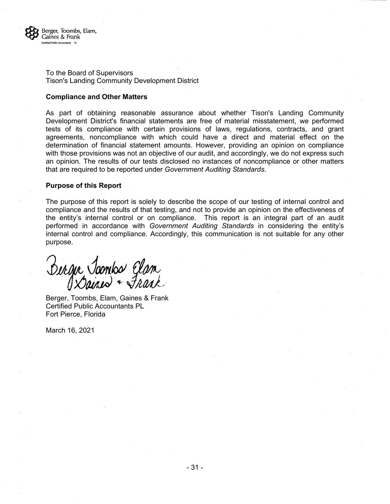

To the Board of Supervisors Tison's Landing Community Development District

#### **Compliance and Other Matters**

As part of obtaining reasonable assurance about whether Tison's Landing Community Development District's financial statements are free of material misstatement, we performed tests of its compliance with certain provisions of laws, regulations, contracts, and grant agreements, noncompliance with which could have a direct and material effect on the determination of financial statement amounts. However, providing an opinion on compliance with those provisions was not an objective of our audit, and accordingly, we do not express such an opinion. The results of our tests disclosed no instances of noncompliance or other matters that are required to be reported under *Government Auditing Standards*.

#### **Purpose of this Report**

The purpose of this report is solely to describe the scope of our testing of internal control and compliance and the results of that testing, and not to provide an opinion on the effectiveness of the entity's internal control or on compliance. This report is an integral part of an audit performed in accordance with *Government Auditing Standards* in considering the entity's internal control and compliance. Accordingly, this communication is not suitable for any other purpose.

Birgir Jambo Glam

Berger, Toombs, Elam, Gaines & Frank Certified Public Accountants PL Fort Pierce, Florida

March 16, 2021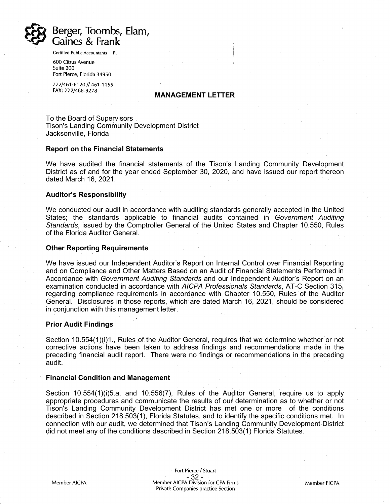

Certified Public Accountants PL

600 Citrus Avenue Suite 200 Fort Pierce, Florida 34950

772/461-6120 // 461-1155 FAX: 772/468-9278

### **MANAGEMENT LETTER**

To the Board of Supervisors Tison's Landing Community Development District Jacksonville, Florida

#### **Report on the Financial Statements**

We have audited the financial statements of the Tison's Landing Community Development District as of and for the year ended September 30, 2020, and have issued our report thereon dated March 16, 2021.

#### **Auditor's Responsibility**

We conducted our audit in accordance with auditing standards generally accepted in the United States; the standards applicable to financial audits contained in *Government Auditing Standards*, issued by the Comptroller General of the United States and Chapter 10.550, Rules of the Florida Auditor General.

#### **Other Reporting Requirements**

We have issued our Independent Auditor's Report on Internal Control over Financial Reporting and on Compliance and Other Matters Based on an Audit of Financial Statements Performed in Accordance with *Government Auditing Standards* and our Independent Auditor's Report on an examination conducted in accordance with *AICPA Professionals Standards*, AT-C Section 315, regarding compliance requirements in accordance with Chapter 10.550, Rules of the Auditor General. Disclosures in those reports, which are dated March 16, 2021, should be considered in conjunction with this management letter.

#### **Prior Audit Findings**

Section 10.554(1)(i)1., Rules of the Auditor General, requires that we determine whether or not corrective actions have been taken to address findings and recommendations made in the preceding financial audit report. There were no findings or recommendations in the preceding audit.

#### **Financial Condition and Management**

Section 10.554(1)(i)5.a. and 10.556(7), Rules of the Auditor General, require us to apply appropriate procedures and communicate the results of our determination as to whether or not Tison's Landing Community Development District has met one or more of the conditions described in Section 218.503(1), Florida Statutes, and to identify the specific conditions met. In connection with our audit, we determined that Tison's Landing Community Development District did not meet any of the conditions described in Section 218.503(1) Florida Statutes.

Fort Pierce / Stuart - 32 -<br>Member AICPA Division for CPA Firms Private Companies practice Section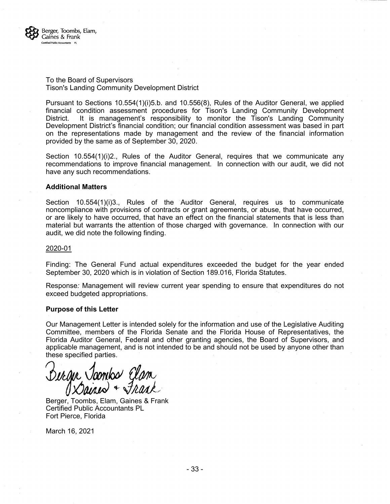

#### To the Board of Supervisors Tison's Landing Community Development District

Pursuant to Sections 10.554(1)(i)5.b. and 10.556(8), Rules of the Auditor General, we applied financial condition assessment procedures for Tison's Landing Community Development District. It is management's responsibility to monitor the Tison's Landing Community Development District's financial condition; our financial condition assessment was based in part on the representations made by management and the review of the financial information provided by the same as of September 30, 2020.

Section 10.554(1)(i)2., Rules of the Auditor General, requires that we communicate any recommendations to improve financial management. In connection with our audit, we did not have any such recommendations.

#### **Additional Matters**

Section 10.554(1)(i)3., Rules of the Auditor General, requires us to communicate noncompliance with provisions of contracts or grant agreements, or abuse, that have occurred, or are likely to have occurred, that have an effect on the financial statements that is less than material but warrants the attention of those charged with governance. In connection with our audit, we did note the following finding.

#### 2020-01

Finding: The General Fund actual expenditures exceeded the budget for the year ended September 30, 2020 which is in violation of Section 189.016, Florida Statutes.

Response*:* Management will review current year spending to ensure that expenditures do not exceed budgeted appropriations.

#### **Purpose of this Letter**

Our Management Letter is intended solely for the information and use of the Legislative Auditing Committee, members of the Florida Senate and the Florida House of Representatives, the Florida Auditor General, Federal and other granting agencies, the Board of Supervisors, and applicable management, and is not intended to be and should not be used by anyone other than these specified parties.

Birgir Joonbo Glam

Berger, Toombs, Elam, Gaines & Frank Certified Public Accountants PL Fort Pierce, Florida

March 16, 2021